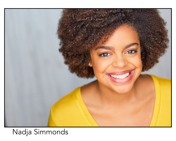

# Nadja Simmonds